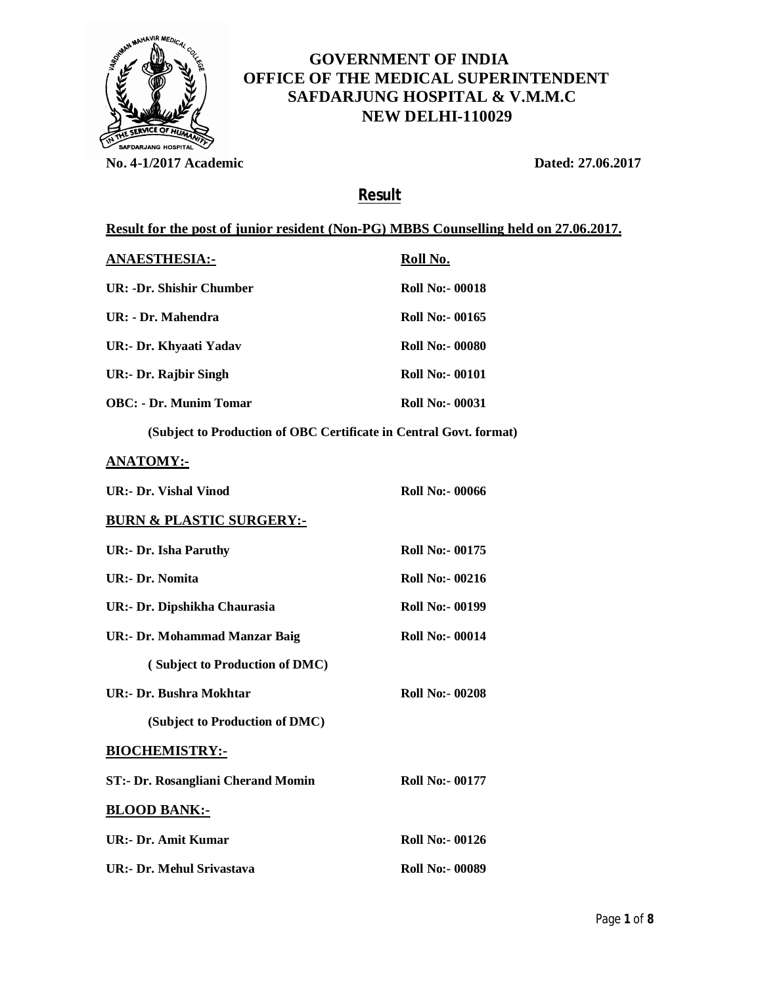

# **GOVERNMENT OF INDIA OFFICE OF THE MEDICAL SUPERINTENDENT SAFDARJUNG HOSPITAL & V.M.M.C NEW DELHI-110029**

**No. 4-1/2017 Academic Dated: 27.06.2017**

## **Result**

### **Result for the post of junior resident (Non-PG) MBBS Counselling held on 27.06.2017.**

| <b>ANAESTHESIA:-</b>          | Roll No.               |
|-------------------------------|------------------------|
| UR: -Dr. Shishir Chumber      | <b>Roll No:- 00018</b> |
| UR: - Dr. Mahendra            | Roll No:- 00165        |
| UR:- Dr. Khyaati Yadav        | Roll No:- 00080        |
| UR:- Dr. Rajbir Singh         | Roll No:- 00101        |
| <b>OBC:</b> - Dr. Munim Tomar | <b>Roll No:- 00031</b> |

**(Subject to Production of OBC Certificate in Central Govt. format)**

#### **ANATOMY:-**

| <b>UR:- Dr. Vishal Vinod</b>              | <b>Roll No:- 00066</b> |
|-------------------------------------------|------------------------|
| <b>BURN &amp; PLASTIC SURGERY:-</b>       |                        |
| <b>UR:- Dr. Isha Paruthy</b>              | <b>Roll No:- 00175</b> |
| <b>UR:- Dr. Nomita</b>                    | <b>Roll No:- 00216</b> |
| UR:- Dr. Dipshikha Chaurasia              | <b>Roll No:- 00199</b> |
| UR:- Dr. Mohammad Manzar Baig             | <b>Roll No:- 00014</b> |
| (Subject to Production of DMC)            |                        |
| UR:- Dr. Bushra Mokhtar                   | <b>Roll No:- 00208</b> |
| (Subject to Production of DMC)            |                        |
| <b>BIOCHEMISTRY:-</b>                     |                        |
| <b>ST:- Dr. Rosangliani Cherand Momin</b> | <b>Roll No:- 00177</b> |
| <b>BLOOD BANK:-</b>                       |                        |
| UR:- Dr. Amit Kumar                       | <b>Roll No:- 00126</b> |
| UR:- Dr. Mehul Srivastava                 | <b>Roll No:- 00089</b> |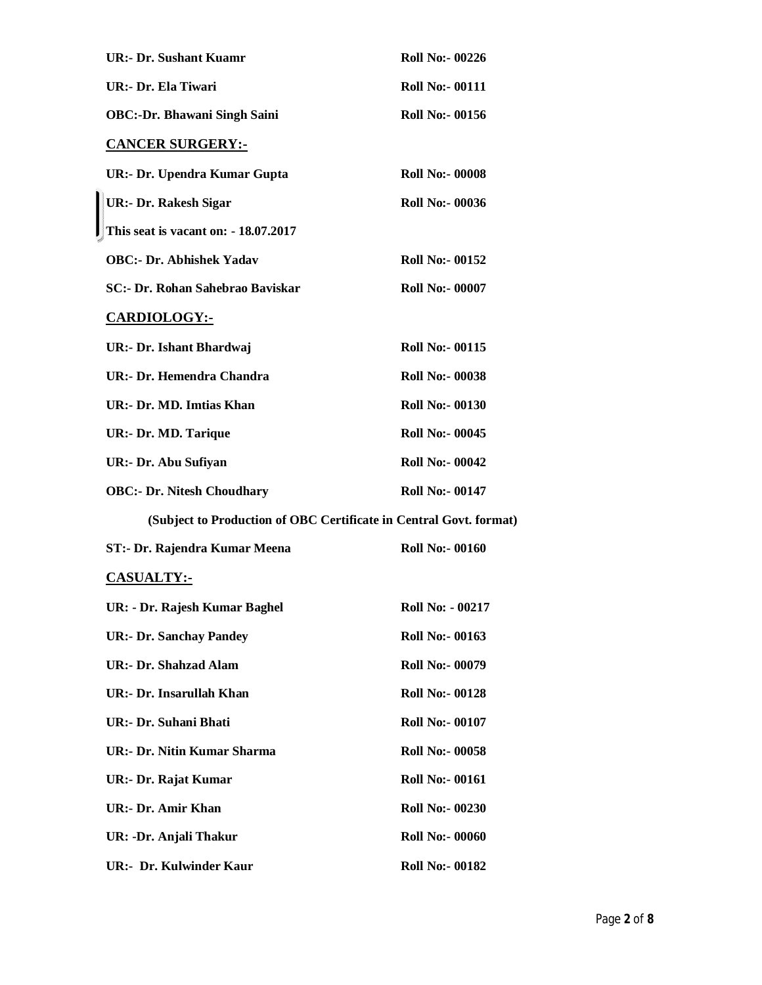| <b>UR:- Dr. Sushant Kuamr</b>                                      | <b>Roll No:- 00226</b>  |
|--------------------------------------------------------------------|-------------------------|
| UR:- Dr. Ela Tiwari                                                | <b>Roll No:- 00111</b>  |
| <b>OBC:-Dr. Bhawani Singh Saini</b>                                | <b>Roll No:- 00156</b>  |
| <b>CANCER SURGERY:-</b>                                            |                         |
| <b>UR:- Dr. Upendra Kumar Gupta</b>                                | <b>Roll No:- 00008</b>  |
| <b>UR:- Dr. Rakesh Sigar</b>                                       | <b>Roll No:- 00036</b>  |
| This seat is vacant on: - 18.07.2017                               |                         |
| <b>OBC:- Dr. Abhishek Yadav</b>                                    | <b>Roll No:- 00152</b>  |
| SC:- Dr. Rohan Sahebrao Baviskar                                   | <b>Roll No:- 00007</b>  |
| <b>CARDIOLOGY:-</b>                                                |                         |
| UR:- Dr. Ishant Bhardwaj                                           | <b>Roll No:- 00115</b>  |
| <b>UR:- Dr. Hemendra Chandra</b>                                   | <b>Roll No:- 00038</b>  |
| UR:- Dr. MD. Imtias Khan                                           | <b>Roll No:- 00130</b>  |
| <b>UR:- Dr. MD. Tarique</b>                                        | <b>Roll No:- 00045</b>  |
| UR:- Dr. Abu Sufiyan                                               | <b>Roll No:- 00042</b>  |
| <b>OBC:- Dr. Nitesh Choudhary</b>                                  | <b>Roll No:- 00147</b>  |
| (Subject to Production of OBC Certificate in Central Govt. format) |                         |
| ST:- Dr. Rajendra Kumar Meena                                      | <b>Roll No:- 00160</b>  |
| <b>CASUALTY:-</b>                                                  |                         |
| UR: - Dr. Rajesh Kumar Baghel                                      | <b>Roll No: - 00217</b> |
| <b>UR:- Dr. Sanchay Pandey</b>                                     | <b>Roll No:- 00163</b>  |
| <b>UR:- Dr. Shahzad Alam</b>                                       | <b>Roll No:- 00079</b>  |
| UR:- Dr. Insarullah Khan                                           | <b>Roll No:- 00128</b>  |
| UR:- Dr. Suhani Bhati                                              | <b>Roll No:- 00107</b>  |
| <b>UR:- Dr. Nitin Kumar Sharma</b>                                 | <b>Roll No:- 00058</b>  |
| UR:- Dr. Rajat Kumar                                               | <b>Roll No:- 00161</b>  |
| UR:- Dr. Amir Khan                                                 | <b>Roll No:- 00230</b>  |
| UR: -Dr. Anjali Thakur                                             | <b>Roll No:- 00060</b>  |
| <b>UR:- Dr. Kulwinder Kaur</b>                                     | <b>Roll No:- 00182</b>  |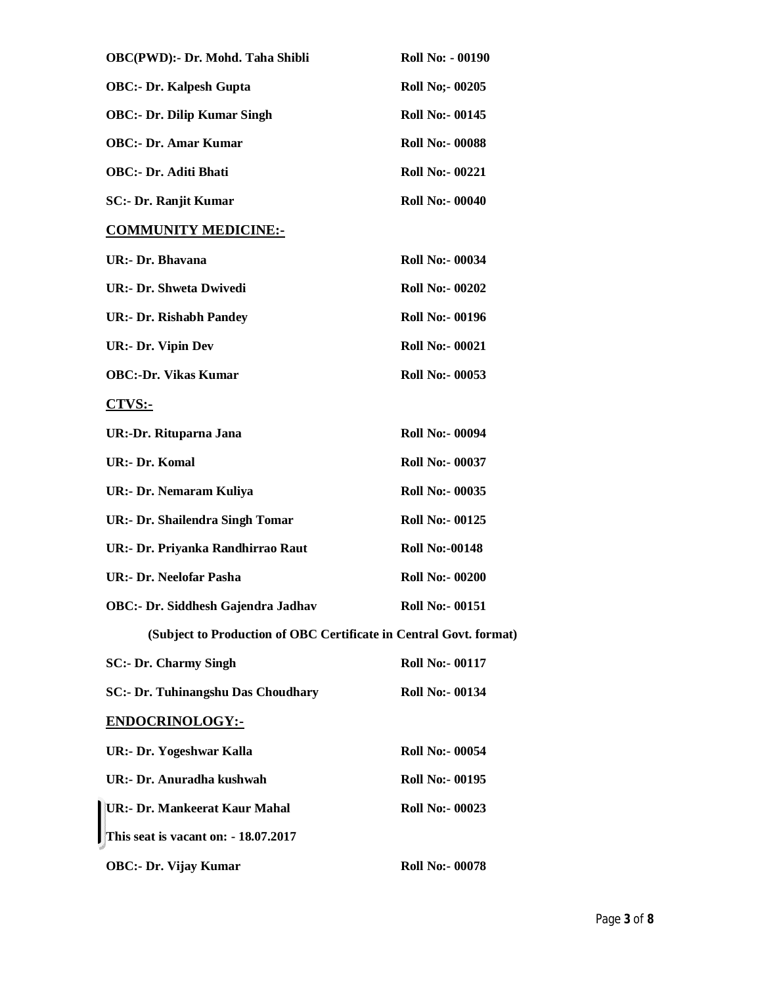| OBC(PWD):- Dr. Mohd. Taha Shibli                                   | <b>Roll No: - 00190</b> |
|--------------------------------------------------------------------|-------------------------|
| <b>OBC:- Dr. Kalpesh Gupta</b>                                     | <b>Roll No;- 00205</b>  |
| <b>OBC:- Dr. Dilip Kumar Singh</b>                                 | <b>Roll No:- 00145</b>  |
| <b>OBC:- Dr. Amar Kumar</b>                                        | <b>Roll No:- 00088</b>  |
| <b>OBC:- Dr. Aditi Bhati</b>                                       | <b>Roll No:- 00221</b>  |
| SC:- Dr. Ranjit Kumar                                              | <b>Roll No:- 00040</b>  |
| <b>COMMUNITY MEDICINE:-</b>                                        |                         |
| UR:- Dr. Bhavana                                                   | <b>Roll No:- 00034</b>  |
| <b>UR:- Dr. Shweta Dwivedi</b>                                     | <b>Roll No:- 00202</b>  |
| <b>UR:- Dr. Rishabh Pandey</b>                                     | <b>Roll No:- 00196</b>  |
| <b>UR:- Dr. Vipin Dev</b>                                          | <b>Roll No:- 00021</b>  |
| <b>OBC:-Dr. Vikas Kumar</b>                                        | <b>Roll No:- 00053</b>  |
| $CTVS$ :-                                                          |                         |
| UR:-Dr. Rituparna Jana                                             | <b>Roll No:- 00094</b>  |
| <b>UR:- Dr. Komal</b>                                              | <b>Roll No:- 00037</b>  |
| UR:- Dr. Nemaram Kuliya                                            | <b>Roll No:- 00035</b>  |
| <b>UR:- Dr. Shailendra Singh Tomar</b>                             | <b>Roll No:- 00125</b>  |
| UR:- Dr. Priyanka Randhirrao Raut                                  | <b>Roll No:-00148</b>   |
| UR:- Dr. Neelofar Pasha                                            | <b>Roll No:- 00200</b>  |
| OBC:- Dr. Siddhesh Gajendra Jadhav                                 | <b>Roll No:- 00151</b>  |
| (Subject to Production of OBC Certificate in Central Govt. format) |                         |
| <b>SC:- Dr. Charmy Singh</b>                                       | <b>Roll No:- 00117</b>  |
| <b>SC:- Dr. Tuhinangshu Das Choudhary</b>                          | <b>Roll No:- 00134</b>  |
| <b>ENDOCRINOLOGY:-</b>                                             |                         |
| UR:- Dr. Yogeshwar Kalla                                           | <b>Roll No:- 00054</b>  |
| UR:- Dr. Anuradha kushwah                                          | <b>Roll No:- 00195</b>  |
| UR:- Dr. Mankeerat Kaur Mahal                                      | <b>Roll No:- 00023</b>  |
| This seat is vacant on: - 18.07.2017                               |                         |
| <b>OBC:- Dr. Vijay Kumar</b>                                       | <b>Roll No:- 00078</b>  |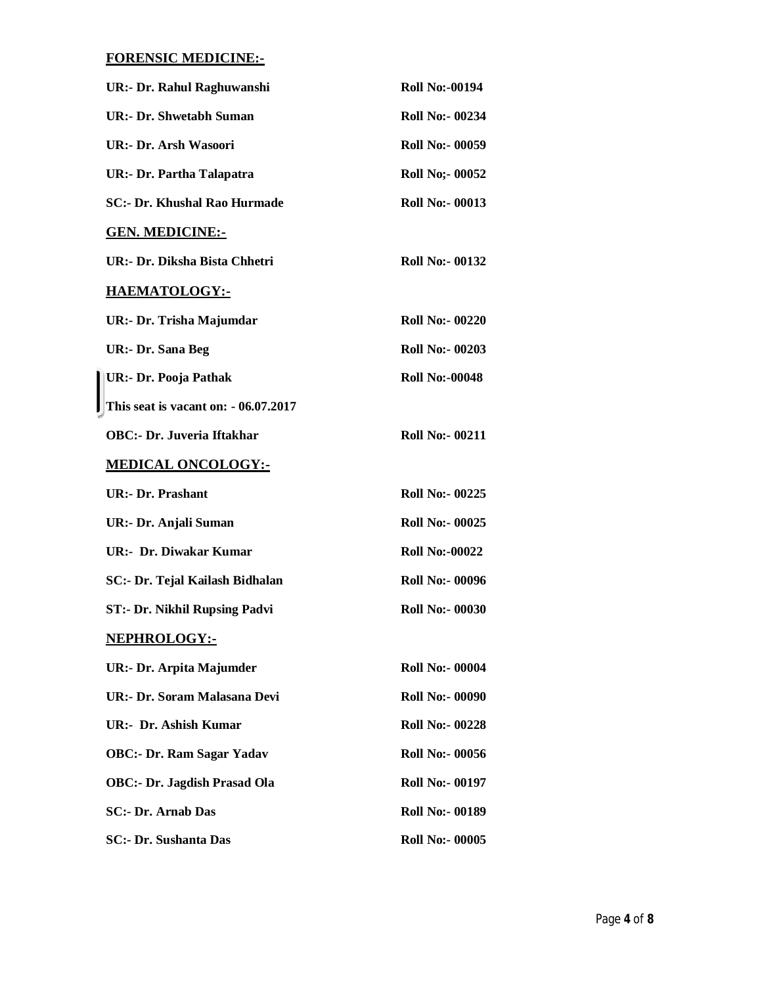## **FORENSIC MEDICINE:-**

| UR:- Dr. Rahul Raghuwanshi           | <b>Roll No:-00194</b>  |
|--------------------------------------|------------------------|
| <b>UR:- Dr. Shwetabh Suman</b>       | <b>Roll No:- 00234</b> |
| <b>UR:- Dr. Arsh Wasoori</b>         | <b>Roll No:- 00059</b> |
| <b>UR:- Dr. Partha Talapatra</b>     | <b>Roll No;- 00052</b> |
| <b>SC:- Dr. Khushal Rao Hurmade</b>  | <b>Roll No:- 00013</b> |
| <u>GEN. MEDICINE:-</u>               |                        |
| UR:- Dr. Diksha Bista Chhetri        | <b>Roll No:- 00132</b> |
| <u>HAEMATOLOGY:-</u>                 |                        |
| UR:- Dr. Trisha Majumdar             | <b>Roll No:- 00220</b> |
| <b>UR:- Dr. Sana Beg</b>             | <b>Roll No:- 00203</b> |
| UR:- Dr. Pooja Pathak                | <b>Roll No:-00048</b>  |
| This seat is vacant on: - 06.07.2017 |                        |
| <b>OBC:- Dr. Juveria Iftakhar</b>    | <b>Roll No:- 00211</b> |
| <u>MEDICAL ONCOLOGY:-</u>            |                        |
| <b>UR:- Dr. Prashant</b>             | <b>Roll No:- 00225</b> |
| UR:- Dr. Anjali Suman                | <b>Roll No:- 00025</b> |
| UR:- Dr. Diwakar Kumar               | <b>Roll No:-00022</b>  |
| SC:- Dr. Tejal Kailash Bidhalan      | <b>Roll No:- 00096</b> |
| ST:- Dr. Nikhil Rupsing Padvi        | <b>Roll No:- 00030</b> |
| <u>NEPHROLOGY:-</u>                  |                        |
| UR:- Dr. Arpita Majumder             | <b>Roll No:- 00004</b> |
| UR:- Dr. Soram Malasana Devi         | <b>Roll No:- 00090</b> |
| UR:- Dr. Ashish Kumar                | <b>Roll No:- 00228</b> |
| <b>OBC:- Dr. Ram Sagar Yadav</b>     | <b>Roll No:- 00056</b> |
| <b>OBC:- Dr. Jagdish Prasad Ola</b>  | <b>Roll No:- 00197</b> |
| <b>SC:- Dr. Arnab Das</b>            | <b>Roll No:- 00189</b> |
| <b>SC:- Dr. Sushanta Das</b>         | <b>Roll No:- 00005</b> |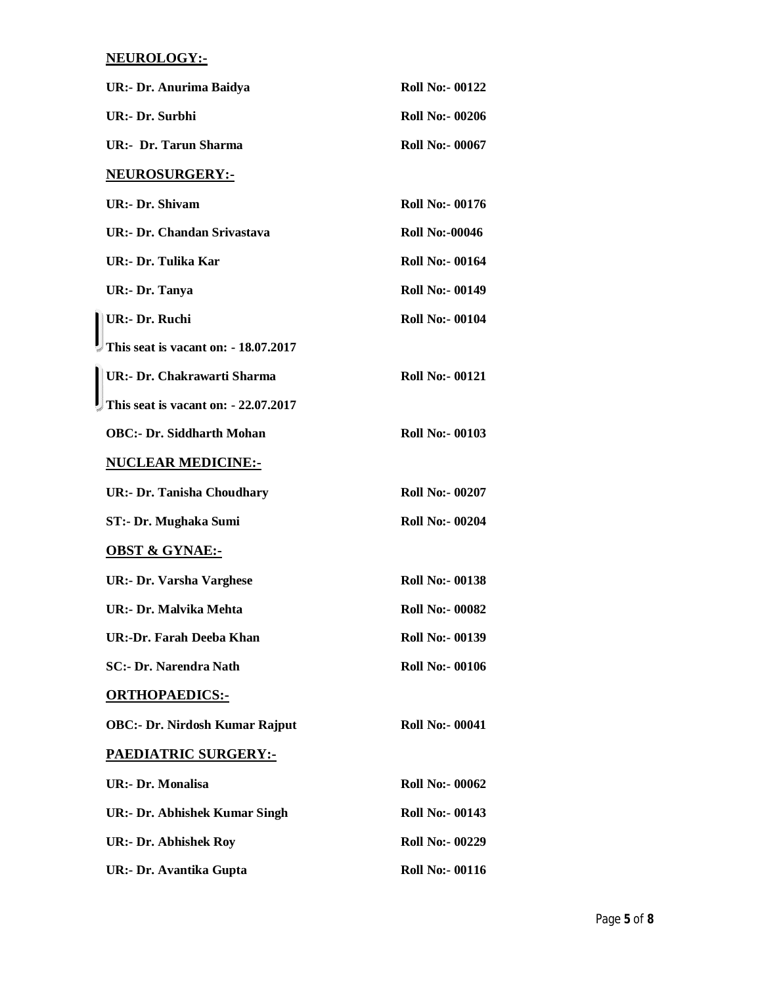### **NEUROLOGY:-**

| UR:- Dr. Anurima Baidya               | <b>Roll No:- 00122</b> |
|---------------------------------------|------------------------|
| <b>UR:- Dr. Surbhi</b>                | <b>Roll No:- 00206</b> |
| <b>UR:- Dr. Tarun Sharma</b>          | <b>Roll No:- 00067</b> |
| <b>NEUROSURGERY:-</b>                 |                        |
| <b>UR:- Dr. Shivam</b>                | <b>Roll No:- 00176</b> |
| UR:- Dr. Chandan Srivastava           | <b>Roll No:-00046</b>  |
| UR:- Dr. Tulika Kar                   | <b>Roll No:- 00164</b> |
| UR:- Dr. Tanya                        | <b>Roll No:- 00149</b> |
| UR:- Dr. Ruchi                        | <b>Roll No:- 00104</b> |
| This seat is vacant on: - 18.07.2017  |                        |
| UR:- Dr. Chakrawarti Sharma           | <b>Roll No:- 00121</b> |
| This seat is vacant on: - 22.07.2017  |                        |
| <b>OBC:- Dr. Siddharth Mohan</b>      | <b>Roll No:- 00103</b> |
| <b>NUCLEAR MEDICINE:-</b>             |                        |
| <b>UR:- Dr. Tanisha Choudhary</b>     | <b>Roll No:- 00207</b> |
| ST:- Dr. Mughaka Sumi                 | <b>Roll No:- 00204</b> |
| <b>OBST &amp; GYNAE:-</b>             |                        |
| <b>UR:- Dr. Varsha Varghese</b>       | <b>Roll No:- 00138</b> |
| UR: - Dr. Malvika Mehta               | <b>Roll No:- 00082</b> |
| UR:-Dr. Farah Deeba Khan              | <b>Roll No:- 00139</b> |
| <b>SC:- Dr. Narendra Nath</b>         | <b>Roll No:- 00106</b> |
| <b>ORTHOPAEDICS:-</b>                 |                        |
| <b>OBC:- Dr. Nirdosh Kumar Rajput</b> | <b>Roll No:- 00041</b> |
| <u> PAEDIATRIC SURGERY:-</u>          |                        |
| <b>UR:- Dr. Monalisa</b>              | <b>Roll No:- 00062</b> |
| <b>UR:- Dr. Abhishek Kumar Singh</b>  | <b>Roll No:- 00143</b> |
| <b>UR:- Dr. Abhishek Roy</b>          | <b>Roll No:- 00229</b> |
| UR:- Dr. Avantika Gupta               | <b>Roll No:- 00116</b> |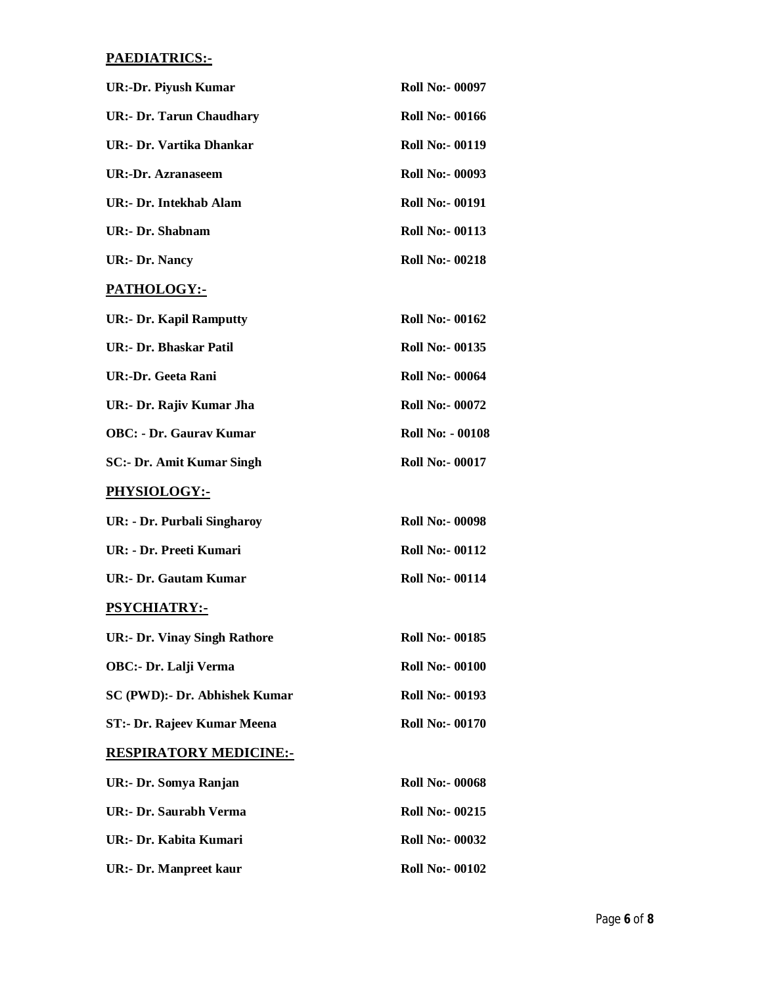### **PAEDIATRICS:-**

| <b>UR:-Dr. Piyush Kumar</b>         | <b>Roll No:- 00097</b>  |
|-------------------------------------|-------------------------|
| <b>UR:- Dr. Tarun Chaudhary</b>     | <b>Roll No:- 00166</b>  |
| UR:- Dr. Vartika Dhankar            | <b>Roll No:- 00119</b>  |
| UR:-Dr. Azranaseem                  | <b>Roll No:- 00093</b>  |
| UR:- Dr. Intekhab Alam              | <b>Roll No:- 00191</b>  |
| <b>UR:- Dr. Shabnam</b>             | <b>Roll No:- 00113</b>  |
| <b>UR:- Dr. Nancy</b>               | <b>Roll No:- 00218</b>  |
| PATHOLOGY:-                         |                         |
| <b>UR:- Dr. Kapil Ramputty</b>      | <b>Roll No:- 00162</b>  |
| <b>UR:- Dr. Bhaskar Patil</b>       | <b>Roll No:- 00135</b>  |
| UR:-Dr. Geeta Rani                  | <b>Roll No:- 00064</b>  |
| UR:- Dr. Rajiv Kumar Jha            | <b>Roll No:- 00072</b>  |
| <b>OBC: - Dr. Gaurav Kumar</b>      | <b>Roll No: - 00108</b> |
| <b>SC:- Dr. Amit Kumar Singh</b>    | <b>Roll No:- 00017</b>  |
| PHYSIOLOGY:-                        |                         |
| UR: - Dr. Purbali Singharoy         | <b>Roll No:- 00098</b>  |
| UR: - Dr. Preeti Kumari             | <b>Roll No:- 00112</b>  |
| <b>UR:- Dr. Gautam Kumar</b>        | <b>Roll No:- 00114</b>  |
| <b>PSYCHIATRY:-</b>                 |                         |
| <b>UR:- Dr. Vinay Singh Rathore</b> | <b>Roll No:- 00185</b>  |
| OBC:- Dr. Lalji Verma               | <b>Roll No:- 00100</b>  |
| SC (PWD):- Dr. Abhishek Kumar       | <b>Roll No:- 00193</b>  |
| ST:- Dr. Rajeev Kumar Meena         | <b>Roll No:- 00170</b>  |
| <b>RESPIRATORY MEDICINE:-</b>       |                         |
| UR:- Dr. Somya Ranjan               | <b>Roll No:- 00068</b>  |
| UR:- Dr. Saurabh Verma              | <b>Roll No:- 00215</b>  |
| UR:- Dr. Kabita Kumari              | <b>Roll No:- 00032</b>  |
| <b>UR:- Dr. Manpreet kaur</b>       | <b>Roll No:- 00102</b>  |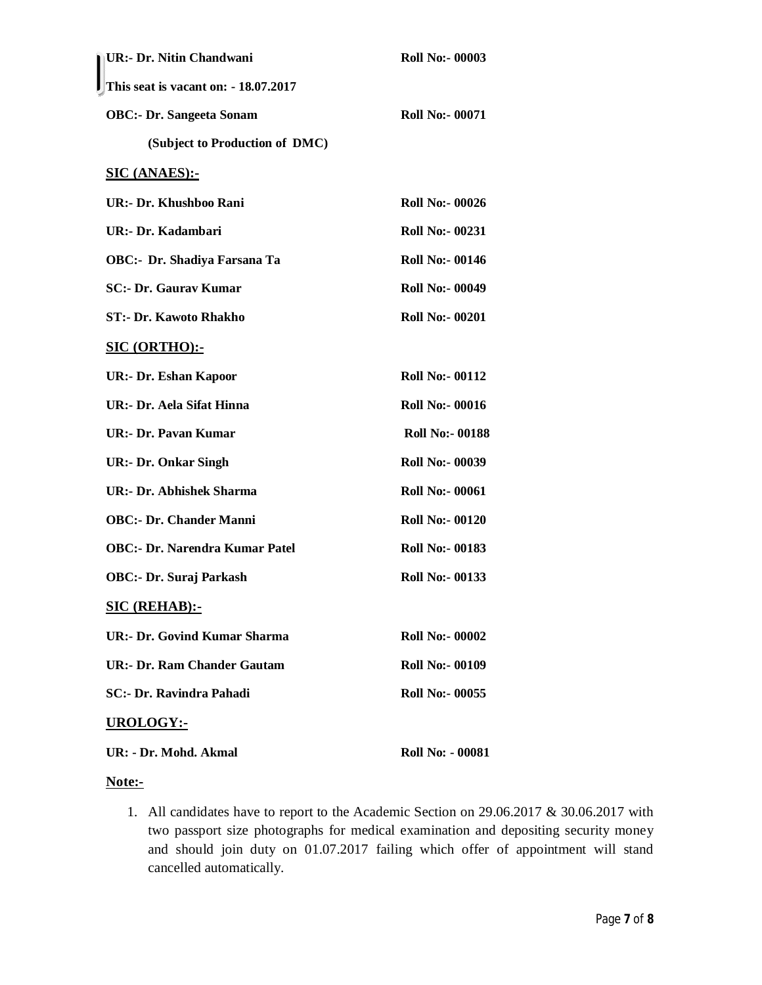| UR:- Dr. Nitin Chandwani                            | <b>Roll No:- 00003</b>  |
|-----------------------------------------------------|-------------------------|
| $\blacksquare$ This seat is vacant on: - 18.07.2017 |                         |
| <b>OBC:- Dr. Sangeeta Sonam</b>                     | <b>Roll No:- 00071</b>  |
| (Subject to Production of DMC)                      |                         |
| <b>SIC (ANAES):-</b>                                |                         |
| <b>UR:- Dr. Khushboo Rani</b>                       | <b>Roll No:- 00026</b>  |
| UR:- Dr. Kadambari                                  | <b>Roll No:- 00231</b>  |
| <b>OBC:- Dr. Shadiya Farsana Ta</b>                 | <b>Roll No:- 00146</b>  |
| <b>SC:- Dr. Gaurav Kumar</b>                        | <b>Roll No:- 00049</b>  |
| <b>ST:- Dr. Kawoto Rhakho</b>                       | <b>Roll No:- 00201</b>  |
| SIC (ORTHO):-                                       |                         |
| <b>UR:- Dr. Eshan Kapoor</b>                        | <b>Roll No:- 00112</b>  |
| <b>UR:- Dr. Aela Sifat Hinna</b>                    | <b>Roll No:- 00016</b>  |
| <b>UR:- Dr. Pavan Kumar</b>                         | <b>Roll No:- 00188</b>  |
| <b>UR:- Dr. Onkar Singh</b>                         | <b>Roll No:- 00039</b>  |
| <b>UR:- Dr. Abhishek Sharma</b>                     | <b>Roll No:- 00061</b>  |
| <b>OBC:- Dr. Chander Manni</b>                      | <b>Roll No:- 00120</b>  |
| <b>OBC:- Dr. Narendra Kumar Patel</b>               | <b>Roll No:- 00183</b>  |
| <b>OBC:- Dr. Suraj Parkash</b>                      | <b>Roll No:- 00133</b>  |
| <b>SIC (REHAB):-</b>                                |                         |
| <b>UR:- Dr. Govind Kumar Sharma</b>                 | <b>Roll No:- 00002</b>  |
| UR:- Dr. Ram Chander Gautam                         | <b>Roll No:- 00109</b>  |
| <b>SC:- Dr. Ravindra Pahadi</b>                     | <b>Roll No:- 00055</b>  |
| <b>UROLOGY:-</b>                                    |                         |
| UR: - Dr. Mohd. Akmal                               | <b>Roll No: - 00081</b> |

#### **Note:-**

1. All candidates have to report to the Academic Section on 29.06.2017 & 30.06.2017 with two passport size photographs for medical examination and depositing security money and should join duty on 01.07.2017 failing which offer of appointment will stand cancelled automatically.